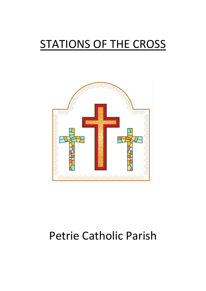# STATIONS OF THE CROSS



## Petrie Catholic Parish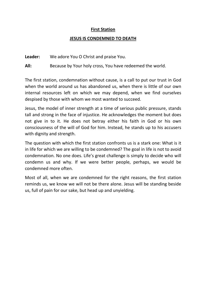## First Station

## JESUS IS CONDEMNED TO DEATH

Leader: We adore You O Christ and praise You.

All: Because by Your holy cross, You have redeemed the world.

The first station, condemnation without cause, is a call to put our trust in God when the world around us has abandoned us, when there is little of our own internal resources left on which we may depend, when we find ourselves despised by those with whom we most wanted to succeed.

Jesus, the model of inner strength at a time of serious public pressure, stands tall and strong in the face of injustice. He acknowledges the moment but does not give in to it. He does not betray either his faith in God or his own consciousness of the will of God for him. Instead, he stands up to his accusers with dignity and strength.

The question with which the first station confronts us is a stark one: What is it in life for which we are willing to be condemned? The goal in life is not to avoid condemnation. No one does. Life's great challenge is simply to decide who will condemn us and why. If we were better people, perhaps, we would be condemned more often.

Most of all, when we are condemned for the right reasons, the first station reminds us, we know we will not be there alone. Jesus will be standing beside us, full of pain for our sake, but head up and unyielding.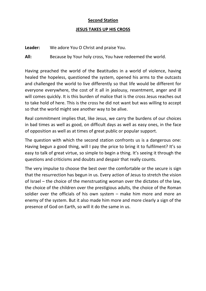## **Second Station**

## JESUS TAKES UP HIS CROSS

Leader: We adore You O Christ and praise You.

All: Because by Your holy cross, You have redeemed the world.

Having preached the world of the Beatitudes in a world of violence, having healed the hopeless, questioned the system, opened his arms to the outcasts and challenged the world to live differently so that life would be different for everyone everywhere, the cost of it all in jealousy, resentment, anger and ill will comes quickly. It is this burden of malice that is the cross Jesus reaches out to take hold of here. This is the cross he did not want but was willing to accept so that the world might see another way to be alive.

Real commitment implies that, like Jesus, we carry the burdens of our choices in bad times as well as good, on difficult days as well as easy ones, in the face of opposition as well as at times of great public or popular support.

The question with which the second station confronts us is a dangerous one: Having begun a good thing, will I pay the price to bring it to fulfilment? It's so easy to talk of great virtue, so simple to begin a thing. It's seeing it through the questions and criticisms and doubts and despair that really counts.

The very impulse to choose the best over the comfortable or the secure is sign that the resurrection has begun in us. Every action of Jesus to stretch the vision of Israel – the choice of the menstruating woman over the dictates of the law, the choice of the children over the prestigious adults, the choice of the Roman soldier over the officials of his own system – make him more and more an enemy of the system. But it also made him more and more clearly a sign of the presence of God on Earth, so will it do the same in us.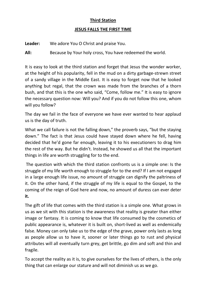## Third Station

## JESUS FALLS THE FIRST TIME

Leader: We adore You O Christ and praise You.

All: Because by Your holy cross, You have redeemed the world.

It is easy to look at the third station and forget that Jesus the wonder worker, at the height of his popularity, fell in the mud on a dirty garbage-strewn street of a sandy village in the Middle East. It is easy to forget now that he looked anything but regal, that the crown was made from the branches of a thorn bush, and that this is the one who said, "Come, follow me." It is easy to ignore the necessary question now: Will you? And if you do not follow this one, whom will you follow?

The day we fail in the face of everyone we have ever wanted to hear applaud us is the day of truth.

What we call failure is not the falling down," the proverb says, "but the staying down." The fact is that Jesus could have stayed down where he fell, having decided that he'd gone far enough, leaving it to his executioners to drag him the rest of the way. But he didn't. Instead, he showed us all that the important things in life are worth struggling for to the end.

 The question with which the third station confronts us is a simple one: Is the struggle of my life worth enough to struggle for to the end? If I am not engaged in a large enough life issue, no amount of struggle can dignify the paltriness of it. On the other hand, if the struggle of my life is equal to the Gospel, to the coming of the reign of God here and now, no amount of duress can ever deter it.

The gift of life that comes with the third station is a simple one. What grows in us as we sit with this station is the awareness that reality is greater than either image or fantasy. It is coming to know that life consumed by the cosmetics of public appearance is, whatever it is built on, short-lived as well as endemically false. Money can only take us to the edge of the grave, power only lasts as long as people allow us to have it, sooner or later things go to rust and physical attributes will all eventually turn grey, get brittle, go dim and soft and thin and fragile.

To accept the reality as it is, to give ourselves for the lives of others, is the only thing that can enlarge our stature and will not diminish us as we go.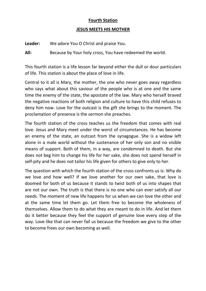## Fourth Station

## JESUS MEETS HIS MOTHER

Leader: We adore You O Christ and praise You.

All: Because by Your holy cross, You have redeemed the world.

This fourth station is a life lesson far beyond either the dull or dour particulars of life. This station is about the place of love in life.

Central to it all is Mary, the mother, the one who never goes away regardless who says what about this saviour of the people who is at one and the same time the enemy of the state, the apostate of the law. Mary who herself braved the negative reactions of both religion and culture to have this child refuses to deny him now. Love for the outcast is the gift she brings to the moment. The proclamation of presence is the sermon she preaches.

The fourth station of the cross teaches us the freedom that comes with real love. Jesus and Mary meet under the worst of circumstances. He has become an enemy of the state, an outcast from the synagogue. She is a widow left alone in a male world without the sustenance of her only son and no visible means of support. Both of them, in a way, are condemned to death. But she does not beg him to change his life for her sake, she does not spend herself in self-pity and he does not tailor his life given for others to give only to her.

The question with which the fourth station of the cross confronts us is: Why do we love and how well? If we love another for our own sake, that love is doomed for both of us because it stands to twist both of us into shapes that are not our own. The truth is that there is no one who can ever satisfy all our needs. The moment of new life happens for us when we can love the other and at the same time let them go. Let them free to become the wholeness of themselves. Allow them to do what they are meant to do in life. And let them do it better because they feel the support of genuine love every step of the way. Love like that can never fail us because the freedom we give to the other to become frees our own becoming as well.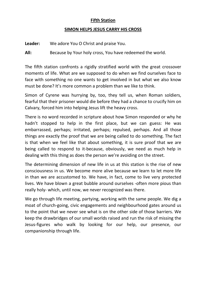### Fifth Station

## SIMON HELPS JESUS CARRY HIS CROSS

Leader: We adore You O Christ and praise You.

All: Because by Your holy cross, You have redeemed the world.

The fifth station confronts a rigidly stratified world with the great crossover moments of life. What are we supposed to do when we find ourselves face to face with something no one wants to get involved in but what we also know must be done? It's more common a problem than we like to think.

Simon of Cyrene was hurrying by, too, they tell us, when Roman soldiers, fearful that their prisoner would die before they had a chance to crucify him on Calvary, forced him into helping Jesus lift the heavy cross.

There is no word recorded in scripture about how Simon responded or why he hadn't stopped to help in the first place, but we can guess: He was embarrassed, perhaps; irritated, perhaps; repulsed, perhaps. And all those things are exactly the proof that we are being called to do something. The fact is that when we feel like that about something, it is sure proof that we are being called to respond to it-because, obviously, we need as much help in dealing with this thing as does the person we're avoiding on the street.

The determining dimension of new life in us at this station is the rise of new consciousness in us. We become more alive because we learn to let more life in than we are accustomed to. We have, in fact, come to live very protected lives. We have blown a great bubble around ourselves -often more pious than really holy- which, until now, we never recognized was there.

We go through life meeting, partying, working with the same people. We dig a moat of church-going, civic engagements and neighbourhood gates around us to the point that we never see what is on the other side of those barriers. We keep the drawbridges of our small worlds raised and run the risk of missing the Jesus-figures who walk by looking for our help, our presence, our companionship through life.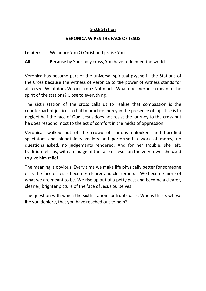## Sixth Station

## VERONICA WIPES THE FACE OF JESUS

Leader: We adore You O Christ and praise You.

All: Because by Your holy cross, You have redeemed the world.

Veronica has become part of the universal spiritual psyche in the Stations of the Cross because the witness of Veronica to the power of witness stands for all to see. What does Veronica do? Not much. What does Veronica mean to the spirit of the stations? Close to everything.

The sixth station of the cross calls us to realize that compassion is the counterpart of justice. To fail to practice mercy in the presence of injustice is to neglect half the face of God. Jesus does not resist the journey to the cross but he does respond most to the act of comfort in the midst of oppression.

Veronicas walked out of the crowd of curious onlookers and horrified spectators and bloodthirsty zealots and performed a work of mercy, no questions asked, no judgements rendered. And for her trouble, she left, tradition tells us, with an image of the face of Jesus on the very towel she used to give him relief.

The meaning is obvious. Every time we make life physically better for someone else, the face of Jesus becomes clearer and clearer in us. We become more of what we are meant to be. We rise up out of a petty past and become a clearer, cleaner, brighter picture of the face of Jesus ourselves.

The question with which the sixth station confronts us is: Who is there, whose life you deplore, that you have reached out to help?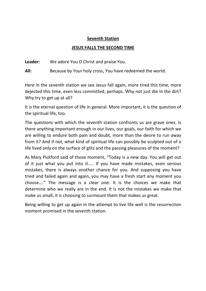### Seventh Station

## JESUS FALLS THE SECOND TIME

Leader: We adore You O Christ and praise You.

All: Because by Your holy cross, You have redeemed the world.

Here in the seventh station we see Jesus fall again, more tired this time, more dejected this time, even less committed, perhaps. Why not just die in the dirt? Why try to get up at all?

It is the eternal question of life in general. More important, it is the question of the spiritual life, too.

The questions with which the seventh station confronts us are grave ones. Is there anything important enough in our lives, our goals, our faith for which we are willing to endure both pain and doubt, more than the desire to run away from it? And if not, what kind of spiritual life can possibly be sculpted out of a life lived only on the surface of glitz and the passing pleasures of the moment?

As Mary Pickford said of those moment, "Today is a new day. You will get out of it just what you put into it….. If you have made mistakes, even serious mistakes, there is always another chance for you. And supposing you have tried and failed again and again, you may have a fresh start any moment you choose…." The message is a clear one: It is the choices we make that determine who we really are in the end. It is not the mistakes we make that make us small, it is choosing to surmount them that makes us great.

Being willing to get up again in the attempt to live life well is the resurrection moment promised in the seventh station.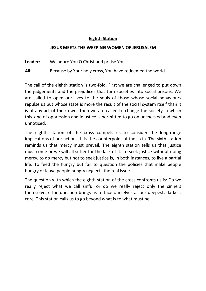## Eighth Station

#### JESUS MEETS THE WEEPING WOMEN OF JERUSALEM

Leader: We adore You O Christ and praise You.

All: Because by Your holy cross, You have redeemed the world.

The call of the eighth station is two-fold. First we are challenged to put down the judgements and the prejudices that turn societies into social prisons. We are called to open our lives to the souls of those whose social behaviours repulse us but whose state is more the result of the social system itself than it is of any act of their own. Then we are called to change the society in which this kind of oppression and injustice is permitted to go on unchecked and even unnoticed.

The eighth station of the cross compels us to consider the long-range implications of our actions. It is the counterpoint of the sixth. The sixth station reminds us that mercy must prevail. The eighth station tells us that justice must come or we will all suffer for the lack of it. To seek justice without doing mercy, to do mercy but not to seek justice is, in both instances, to live a partial life. To feed the hungry but fail to question the policies that make people hungry or leave people hungry neglects the real issue.

The question with which the eighth station of the cross confronts us is: Do we really reject what we call sinful or do we really reject only the sinners themselves? The question brings us to face ourselves at our deepest, darkest core. This station calls us to go beyond what is to what must be.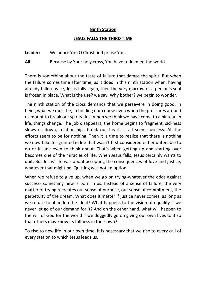#### Ninth Station

### JESUS FALLS THE THIRD TIME

Leader: We adore You O Christ and praise You.

All: Because by Your holy cross, You have redeemed the world.

There is something about the taste of failure that damps the spirit. But when the failure comes time after time, as it does in this ninth station when, having already fallen twice, Jesus falls again, then the very marrow of a person's soul is frozen in place. What is the use? we say. Why bother? we begin to wonder.

The ninth station of the cross demands that we persevere in doing good, in being what we must be, in holding our course even when the pressures around us mount to break our spirits. Just when we think we have come to a plateau in life, things change. The job disappears, the home begins to fragment, sickness slows us down, relationships break our heart. It all seems useless. All the efforts seem to be for nothing. Then it is time to realize that there is nothing we now take for granted in life that wasn't first considered either untenable to do or insane even to think about. That's when getting up and starting over becomes one of the miracles of life. When Jesus falls, Jesus certainly wants to quit. But Jesus' life was about accepting the consequences of love and justice, whatever that might be. Quitting was not an option.

When we refuse to give up, when we go on trying-whatever the odds against success- something new is born in us. Instead of a sense of failure, the very matter of trying recreates our sense of purpose, our sense of commitment, the perpetuity of the dream. What does it matter if justice never comes, as long as we refuse to abandon the ideal? What happens to the vision of equality if we never let go of our demand for it? And on the other hand, what will happen to the will of God for the world if we doggedly go on giving our own lives to it so that others may know its fullness in their own?

To rise to new life in our own time, it is necessary that we rise to every call of every station to which Jesus leads us.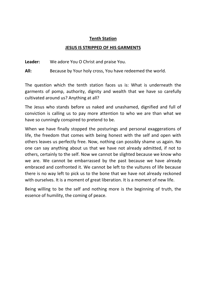## Tenth Station

## JESUS IS STRIPPED OF HIS GARMENTS

Leader: We adore You O Christ and praise You.

All: Because by Your holy cross, You have redeemed the world.

The question which the tenth station faces us is: What is underneath the garments of pomp, authority, dignity and wealth that we have so carefully cultivated around us? Anything at all?

The Jesus who stands before us naked and unashamed, dignified and full of conviction is calling us to pay more attention to who we are than what we have so cunningly conspired to pretend to be.

When we have finally stopped the posturings and personal exaggerations of life, the freedom that comes with being honest with the self and open with others leaves us perfectly free. Now, nothing can possibly shame us again. No one can say anything about us that we have not already admitted, if not to others, certainly to the self. Now we cannot be slighted because we know who we are. We cannot be embarrassed by the past because we have already embraced and confronted it. We cannot be left to the vultures of life because there is no way left to pick us to the bone that we have not already reckoned with ourselves. It is a moment of great liberation. It is a moment of new life.

Being willing to be the self and nothing more is the beginning of truth, the essence of humility, the coming of peace.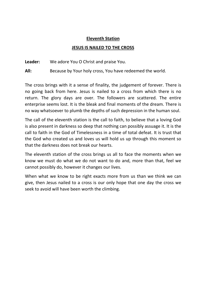## Eleventh Station

## JESUS IS NAILED TO THE CROSS

Leader: We adore You O Christ and praise You.

All: Because by Your holy cross, You have redeemed the world.

The cross brings with it a sense of finality, the judgement of forever. There is no going back from here. Jesus is nailed to a cross from which there is no return. The glory days are over. The followers are scattered. The entire enterprise seems lost. It is the bleak and final moments of the dream. There is no way whatsoever to plumb the depths of such depression in the human soul.

The call of the eleventh station is the call to faith, to believe that a loving God is also present in darkness so deep that nothing can possibly assuage it. It is the call to faith in the God of Timelessness in a time of total defeat. It is trust that the God who created us and loves us will hold us up through this moment so that the darkness does not break our hearts.

The eleventh station of the cross brings us all to face the moments when we know we must do what we do not want to do and, more than that, feel we cannot possibly do, however it changes our lives.

When what we know to be right exacts more from us than we think we can give, then Jesus nailed to a cross is our only hope that one day the cross we seek to avoid will have been worth the climbing.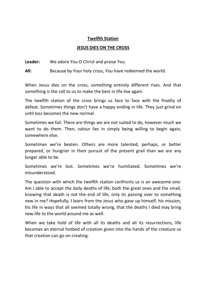## Twelfth Station

#### JESUS DIES ON THE CROSS

Leader: We adore You O Christ and praise You.

All: Because by Your holy cross, You have redeemed the world.

When Jesus dies on the cross, something entirely different rises. And that something is the call to us to make the best in life live again.

The twelfth station of the cross brings us face to face with the finality of defeat. Sometimes things don't have a happy ending in life. They just grind on until loss becomes the new normal.

Sometimes we fail. There are things we are not suited to do, however much we want to do them. Then, valour lies in simply being willing to begin again, somewhere else.

Sometimes we're beaten. Others are more talented, perhaps, or better prepared, or hungrier in their pursuit of the present grail than we are any longer able to be.

Sometimes we're lost. Sometimes we're humiliated. Sometimes we're misunderstood.

The question with which the twelfth station confronts us is an awesome one: Am I able to accept the daily deaths of life, both the great ones and the small, knowing that death is not the end of life, only its passing over to something new in me? Hopefully, I learn from the Jesus who gave up himself, his mission, his life in ways that all seemed totally wrong, that the deaths I died may bring new life to the world around me as well.

When we take hold of life with all its deaths and all its resurrections, life becomes an eternal hotbed of creation given into the hands of the creature so that creation can go on creating.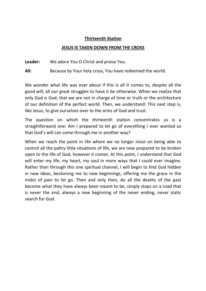#### Thirteenth Station

#### JESUS IS TAKEN DOWN FROM THE CROSS

Leader: We adore You O Christ and praise You.

All: Because by Your holy cross, You have redeemed the world.

We wonder what life was ever about if this is all it comes to, despite all the good will, all our great struggles to have it be otherwise. When we realize that only God is God, that we are not in charge of time or truth or the architecture of our definition of the perfect world. Then, we understand: This next step is, like Jesus, to give ourselves over to the arms of God and trust.

The question on which the thirteenth station concentrates us is a straightforward one: Am I prepared to let go of everything I ever wanted so that God's will can come through me in another way?

When we reach the point in life where we no longer insist on being able to control all the paltry little situations of life, we are now prepared to be broken open to the life of God, however it comes. At this point, I understand that God will enter my life, my heart, my soul in more ways that I could ever imagine. Rather than through this one spiritual channel, I will begin to find God hidden in new ideas, beckoning me to new beginnings, offering me the grace in the midst of pain to let go. Then and only then, do all the deaths of the past become what they have always been meant to be, simply steps on a road that is never the end, always a new beginning of the never ending, never static search for God.